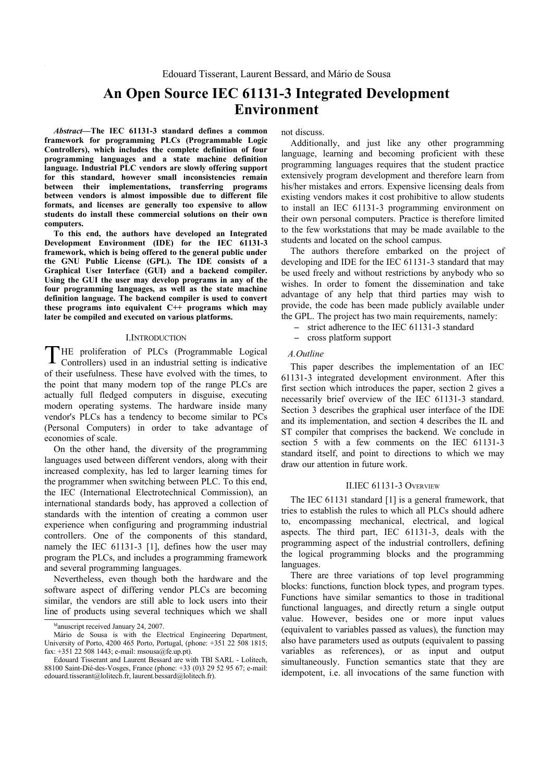# **An Open Source IEC 61131-3 Integrated Development Environment**

*Abstract***—The IEC 61131-3 standard defines a common framework for programming PLCs (Programmable Logic Controllers), which includes the complete definition of four programming languages and a state machine definition language. Industrial PLC vendors are slowly offering support for this standard, however small inconsistencies remain between their implementations, transferring programs between vendors is almost impossible due to different file formats, and licenses are generally too expensive to allow students do install these commercial solutions on their own computers.**

**To this end, the authors have developed an Integrated Development Environment (IDE) for the IEC 61131-3 framework, which is being offered to the general public under the GNU Public License (GPL). The IDE consists of a Graphical User Interface (GUI) and a backend compiler. Using the GUI the user may develop programs in any of the four programming languages, as well as the state machine definition language. The backend compiler is used to convert these programs into equivalent C++ programs which may later be compiled and executed on various platforms.**

#### I.INTRODUCTION

HE proliferation of PLCs (Programmable Logical Controllers) used in an industrial setting is indicative of their usefulness. These have evolved with the times, to the point that many modern top of the range PLCs are actually full fledged computers in disguise, executing modern operating systems. The hardware inside many vendor's PLCs has a tendency to become similar to PCs (Personal Computers) in order to take advantage of economies of scale. T

On the other hand, the diversity of the programming languages used between different vendors, along with their increased complexity, has led to larger learning times for the programmer when switching between PLC. To this end, the IEC (International Electrotechnical Commission), an international standards body, has approved a collection of standards with the intention of creating a common user experience when configuring and programming industrial controllers. One of the components of this standard, namely the IEC 61131-3 [1], defines how the user may program the PLCs, and includes a programming framework and several programming languages.

Nevertheless, even though both the hardware and the software aspect of differing vendor PLCs are becoming similar, the vendors are still able to lock users into their line of products using several techniques which we shall

not discuss.

Additionally, and just like any other programming language, learning and becoming proficient with these programming languages requires that the student practice extensively program development and therefore learn from his/her mistakes and errors. Expensive licensing deals from existing vendors makes it cost prohibitive to allow students to install an IEC 61131-3 programming environment on their own personal computers. Practice is therefore limited to the few workstations that may be made available to the students and located on the school campus.

The authors therefore embarked on the project of developing and IDE for the IEC 61131-3 standard that may be used freely and without restrictions by anybody who so wishes. In order to foment the dissemination and take advantage of any help that third parties may wish to provide, the code has been made publicly available under the GPL. The project has two main requirements, namely:

- strict adherence to the IEC 61131-3 standard
- cross platform support

### *A.Outline*

This paper describes the implementation of an IEC 61131-3 integrated development environment. After this first section which introduces the paper, section 2 gives a necessarily brief overview of the IEC 61131-3 standard. Section 3 describes the graphical user interface of the IDE and its implementation, and section 4 describes the IL and ST compiler that comprises the backend. We conclude in section 5 with a few comments on the IEC 61131-3 standard itself, and point to directions to which we may draw our attention in future work.

# II.IEC 61131-3 OVERVIEW

The IEC 61131 standard [1] is a general framework, that tries to establish the rules to which all PLCs should adhere to, encompassing mechanical, electrical, and logical aspects. The third part, IEC 61131-3, deals with the programming aspect of the industrial controllers, defining the logical programming blocks and the programming languages.

There are three variations of top level programming blocks: functions, function block types, and program types. Functions have similar semantics to those in traditional functional languages, and directly return a single output value. However, besides one or more input values (equivalent to variables passed as values), the function may also have parameters used as outputs (equivalent to passing variables as references), or as input and output simultaneously. Function semantics state that they are idempotent, i.e. all invocations of the same function with

<sup>&</sup>lt;sup>M</sup>anuscript received January 24, 2007.

Mário de Sousa is with the Electrical Engineering Department, University of Porto, 4200 465 Porto, Portugal, (phone: +351 22 508 1815; fax: +351 22 508 1443; e-mail: msousa@fe.up.pt).

Edouard Tisserant and Laurent Bessard are with TBI SARL - Lolitech, 88100 Saint-Dié-des-Vosges, France (phone: +33 (0)3 29 52 95 67; e-mail: edouard.tisserant@lolitech.fr, laurent.bessard@lolitech.fr).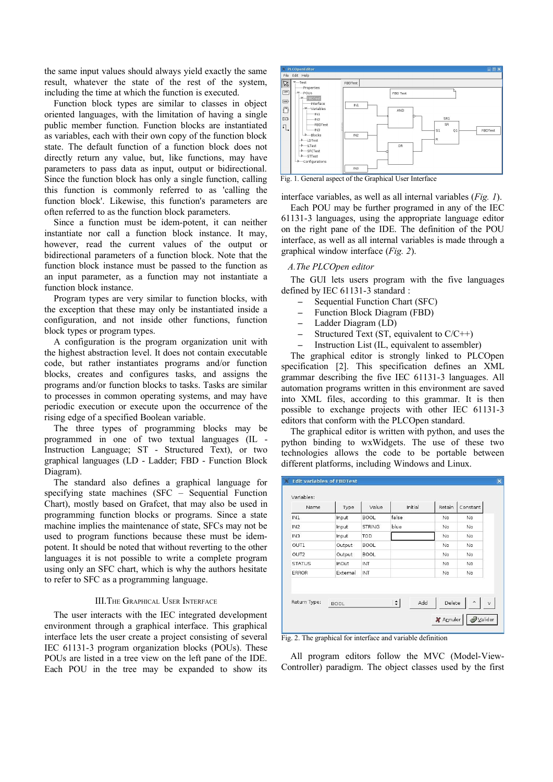the same input values should always yield exactly the same result, whatever the state of the rest of the system, including the time at which the function is executed.

Function block types are similar to classes in object oriented languages, with the limitation of having a single public member function. Function blocks are instantiated as variables, each with their own copy of the function block state. The default function of a function block does not directly return any value, but, like functions, may have parameters to pass data as input, output or bidirectional. Since the function block has only a single function, calling this function is commonly referred to as 'calling the function block'. Likewise, this function's parameters are often referred to as the function block parameters.

Since a function must be idem-potent, it can neither instantiate nor call a function block instance. It may, however, read the current values of the output or bidirectional parameters of a function block. Note that the function block instance must be passed to the function as an input parameter, as a function may not instantiate a function block instance.

Program types are very similar to function blocks, with the exception that these may only be instantiated inside a configuration, and not inside other functions, function block types or program types.

A configuration is the program organization unit with the highest abstraction level. It does not contain executable code, but rather instantiates programs and/or function blocks, creates and configures tasks, and assigns the programs and/or function blocks to tasks. Tasks are similar to processes in common operating systems, and may have periodic execution or execute upon the occurrence of the rising edge of a specified Boolean variable.

The three types of programming blocks may be programmed in one of two textual languages (IL - Instruction Language; ST - Structured Text), or two graphical languages (LD - Ladder; FBD - Function Block Diagram).

The standard also defines a graphical language for specifying state machines (SFC – Sequential Function Chart), mostly based on Grafcet, that may also be used in programming function blocks or programs. Since a state machine implies the maintenance of state, SFCs may not be used to program functions because these must be idempotent. It should be noted that without reverting to the other languages it is not possible to write a complete program using only an SFC chart, which is why the authors hesitate to refer to SFC as a programming language.

## III.THE GRAPHICAL USER INTERFACE

The user interacts with the IEC integrated development environment through a graphical interface. This graphical interface lets the user create a project consisting of several IEC 61131-3 program organization blocks (POUs). These POUs are listed in a tree view on the left pane of the IDE. Each POU in the tree may be expanded to show its



Fig. 1. General aspect of the Graphical User Interface

interface variables, as well as all internal variables (*Fig. 1*).

Each POU may be further programed in any of the IEC 61131-3 languages, using the appropriate language editor on the right pane of the IDE. The definition of the POU interface, as well as all internal variables is made through a graphical window interface (*Fig. 2*).

# *A.The PLCOpen editor*

The GUI lets users program with the five languages defined by IEC 61131-3 standard :

- Sequential Function Chart (SFC)
- Function Block Diagram (FBD)
- Ladder Diagram (LD)
- Structured Text (ST, equivalent to  $C/C++$ )
- Instruction List (IL, equivalent to assembler)

The graphical editor is strongly linked to PLCOpen specification [2]. This specification defines an XML grammar describing the five IEC 61131-3 languages. All automation programs written in this environment are saved into XML files, according to this grammar. It is then possible to exchange projects with other IEC 61131-3 editors that conform with the PLCOpen standard.

The graphical editor is written with python, and uses the python binding to wxWidgets. The use of these two technologies allows the code to be portable between different platforms, including Windows and Linux.

| Name             | Type        | Value         | Initial                       | Retain | Constant                      |
|------------------|-------------|---------------|-------------------------------|--------|-------------------------------|
| IN1              | Input       | <b>BOOL</b>   | false                         | No     | No                            |
| IN <sub>2</sub>  | Input       | <b>STRING</b> | blue                          | No     | No                            |
| IN <sub>3</sub>  | Input       | <b>TOD</b>    |                               | No     | <b>No</b>                     |
| OUT1             | Output      | <b>BOOL</b>   |                               | No     | <b>No</b>                     |
| OUT <sub>2</sub> | Output      | <b>BOOL</b>   |                               | No     | No                            |
| <b>STATUS</b>    | InOut       | INT           |                               | No     | <b>No</b>                     |
| <b>ERROR</b>     | External    | INT           |                               | No     | No                            |
| Return Type:     | <b>BOOL</b> |               | $\left  \cdot \right $<br>Add | Delete | $\hat{\phantom{a}}$<br>$\vee$ |

Fig. 2. The graphical for interface and variable definition

All program editors follow the MVC (Model-View-Controller) paradigm. The object classes used by the first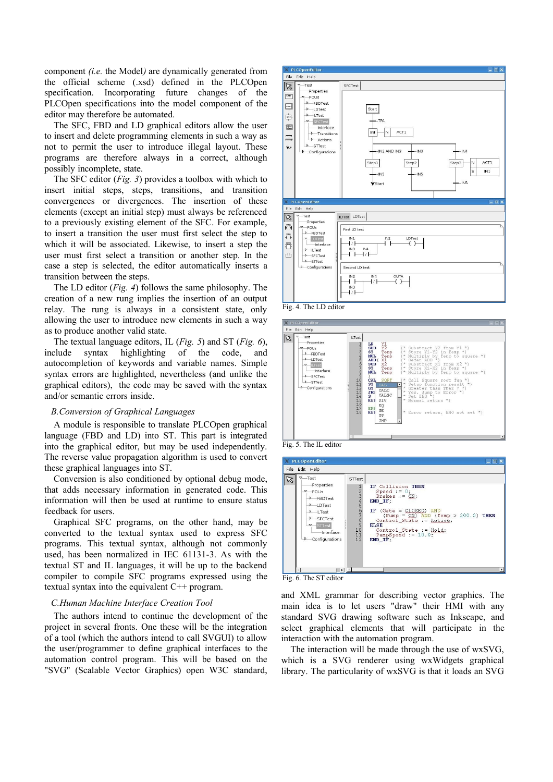component *(i.e.* the Model*)* are dynamically generated from the official scheme (.xsd) defined in the PLCOpen specification. Incorporating future changes of the PLCOpen specifications into the model component of the editor may therefore be automated.

The SFC, FBD and LD graphical editors allow the user to insert and delete programming elements in such a way as not to permit the user to introduce illegal layout. These programs are therefore always in a correct, although possibly incomplete, state.

The SFC editor (*Fig. 3*) provides a toolbox with which to insert initial steps, steps, transitions, and transition convergences or divergences. The insertion of these elements (except an initial step) must always be referenced to a previously existing element of the SFC. For example, to insert a transition the user must first select the step to which it will be associated. Likewise, to insert a step the user must first select a transition or another step. In the case a step is selected, the editor automatically inserts a transition between the steps.

The LD editor (*Fig. 4*) follows the same philosophy. The creation of a new rung implies the insertion of an output relay. The rung is always in a consistent state, only allowing the user to introduce new elements in such a way as to produce another valid state.

The textual language editors, IL (*Fig. 5*) and ST (*Fig. 6*), include syntax highlighting of the code, and autocompletion of keywords and variable names. Simple syntax errors are highlighted, nevertheless (and unlike the graphical editors), the code may be saved with the syntax and/or semantic errors inside.

# *B.Conversion of Graphical Languages*

A module is responsible to translate PLCOpen graphical language (FBD and LD) into ST. This part is integrated into the graphical editor, but may be used independently. The reverse value propagation algorithm is used to convert these graphical languages into ST.

Conversion is also conditioned by optional debug mode, that adds necessary information in generated code. This information will then be used at runtime to ensure status feedback for users.

Graphical SFC programs, on the other hand, may be converted to the textual syntax used to express SFC programs. This textual syntax, although not commonly used, has been normalized in IEC 61131-3. As with the textual ST and IL languages, it will be up to the backend compiler to compile SFC programs expressed using the textual syntax into the equivalent  $C^{++}$  program.

# *C.Human Machine Interface Creation Tool*

The authors intend to continue the development of the project in several fronts. One these will be the integration of a tool (which the authors intend to call SVGUI) to allow the user/programmer to define graphical interfaces to the automation control program. This will be based on the "SVG" (Scalable Vector Graphics) open W3C standard,









Fig. 6. The ST editor

and XML grammar for describing vector graphics. The main idea is to let users "draw" their HMI with any standard SVG drawing software such as Inkscape, and select graphical elements that will participate in the interaction with the automation program.

The interaction will be made through the use of wxSVG, which is a SVG renderer using wxWidgets graphical library. The particularity of wxSVG is that it loads an SVG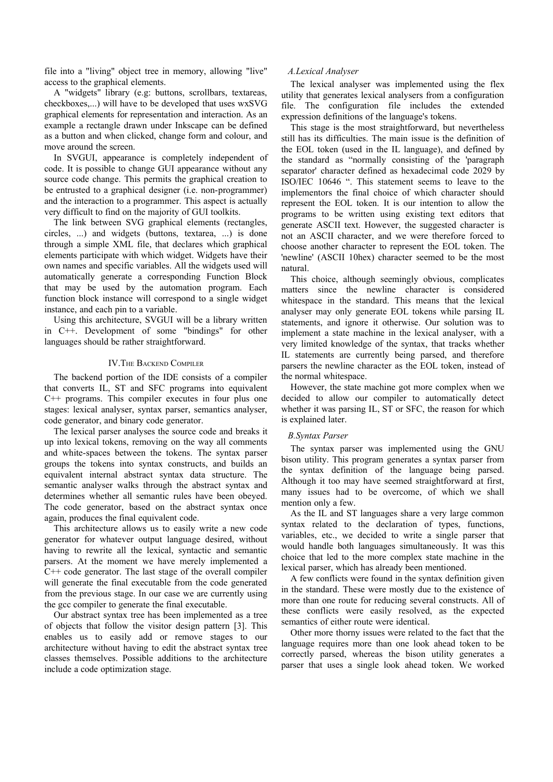file into a "living" object tree in memory, allowing "live" access to the graphical elements.

A "widgets" library (e.g: buttons, scrollbars, textareas, checkboxes,...) will have to be developed that uses wxSVG graphical elements for representation and interaction. As an example a rectangle drawn under Inkscape can be defined as a button and when clicked, change form and colour, and move around the screen.

In SVGUI, appearance is completely independent of code. It is possible to change GUI appearance without any source code change. This permits the graphical creation to be entrusted to a graphical designer (i.e. non-programmer) and the interaction to a programmer. This aspect is actually very difficult to find on the majority of GUI toolkits.

The link between SVG graphical elements (rectangles, circles, ...) and widgets (buttons, textarea, ...) is done through a simple XML file, that declares which graphical elements participate with which widget. Widgets have their own names and specific variables. All the widgets used will automatically generate a corresponding Function Block that may be used by the automation program. Each function block instance will correspond to a single widget instance, and each pin to a variable.

Using this architecture, SVGUI will be a library written in C++. Development of some "bindings" for other languages should be rather straightforward.

# IV.THE BACKEND COMPILER

The backend portion of the IDE consists of a compiler that converts IL, ST and SFC programs into equivalent C++ programs. This compiler executes in four plus one stages: lexical analyser, syntax parser, semantics analyser, code generator, and binary code generator.

The lexical parser analyses the source code and breaks it up into lexical tokens, removing on the way all comments and white-spaces between the tokens. The syntax parser groups the tokens into syntax constructs, and builds an equivalent internal abstract syntax data structure. The semantic analyser walks through the abstract syntax and determines whether all semantic rules have been obeyed. The code generator, based on the abstract syntax once again, produces the final equivalent code.

This architecture allows us to easily write a new code generator for whatever output language desired, without having to rewrite all the lexical, syntactic and semantic parsers. At the moment we have merely implemented a C++ code generator. The last stage of the overall compiler will generate the final executable from the code generated from the previous stage. In our case we are currently using the gcc compiler to generate the final executable.

Our abstract syntax tree has been implemented as a tree of objects that follow the visitor design pattern [3]. This enables us to easily add or remove stages to our architecture without having to edit the abstract syntax tree classes themselves. Possible additions to the architecture include a code optimization stage.

# *A.Lexical Analyser*

The lexical analyser was implemented using the flex utility that generates lexical analysers from a configuration file. The configuration file includes the extended expression definitions of the language's tokens.

This stage is the most straightforward, but nevertheless still has its difficulties. The main issue is the definition of the EOL token (used in the IL language), and defined by the standard as "normally consisting of the 'paragraph separator' character defined as hexadecimal code 2029 by ISO/IEC 10646 ". This statement seems to leave to the implementors the final choice of which character should represent the EOL token. It is our intention to allow the programs to be written using existing text editors that generate ASCII text. However, the suggested character is not an ASCII character, and we were therefore forced to choose another character to represent the EOL token. The 'newline' (ASCII 10hex) character seemed to be the most natural.

This choice, although seemingly obvious, complicates matters since the newline character is considered whitespace in the standard. This means that the lexical analyser may only generate EOL tokens while parsing IL statements, and ignore it otherwise. Our solution was to implement a state machine in the lexical analyser, with a very limited knowledge of the syntax, that tracks whether IL statements are currently being parsed, and therefore parsers the newline character as the EOL token, instead of the normal whitespace.

However, the state machine got more complex when we decided to allow our compiler to automatically detect whether it was parsing IL, ST or SFC, the reason for which is explained later.

## *B.Syntax Parser*

The syntax parser was implemented using the GNU bison utility. This program generates a syntax parser from the syntax definition of the language being parsed. Although it too may have seemed straightforward at first, many issues had to be overcome, of which we shall mention only a few.

As the IL and ST languages share a very large common syntax related to the declaration of types, functions, variables, etc., we decided to write a single parser that would handle both languages simultaneously. It was this choice that led to the more complex state machine in the lexical parser, which has already been mentioned.

A few conflicts were found in the syntax definition given in the standard. These were mostly due to the existence of more than one route for reducing several constructs. All of these conflicts were easily resolved, as the expected semantics of either route were identical.

Other more thorny issues were related to the fact that the language requires more than one look ahead token to be correctly parsed, whereas the bison utility generates a parser that uses a single look ahead token. We worked